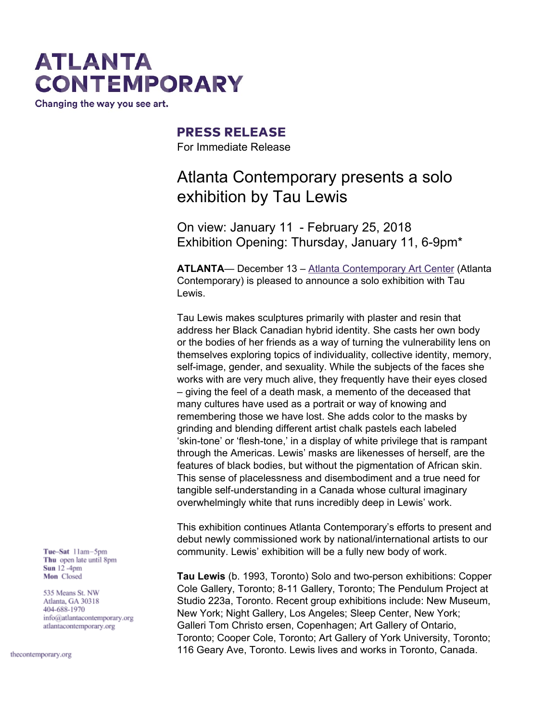# **ATLANTA CONTEMPORARY**

Changing the way you see art.

### **PRESS RELEASE**

For Immediate Release

### Atlanta Contemporary presents a solo exhibition by Tau Lewis

On view: January 11 - February 25, 2018 Exhibition Opening: Thursday, January 11, 6-9pm\*

**ATLANTA**— December 13 – Atlanta [Contemporary](http://atlantacontemporary.org/) Art Center (Atlanta Contemporary) is pleased to announce a solo exhibition with Tau Lewis.

Tau Lewis makes sculptures primarily with plaster and resin that address her Black Canadian hybrid identity. She casts her own body or the bodies of her friends as a way of turning the vulnerability lens on themselves exploring topics of individuality, collective identity, memory, self-image, gender, and sexuality. While the subjects of the faces she works with are very much alive, they frequently have their eyes closed – giving the feel of a death mask, a memento of the deceased that many cultures have used as a portrait or way of knowing and remembering those we have lost. She adds color to the masks by grinding and blending different artist chalk pastels each labeled 'skin-tone' or 'flesh-tone,' in a display of white privilege that is rampant through the Americas. Lewis' masks are likenesses of herself, are the features of black bodies, but without the pigmentation of African skin. This sense of placelessness and disembodiment and a true need for tangible self-understanding in a Canada whose cultural imaginary overwhelmingly white that runs incredibly deep in Lewis' work.

This exhibition continues Atlanta Contemporary's efforts to present and debut newly commissioned work by national/international artists to our community. Lewis' exhibition will be a fully new body of work.

**Tau Lewis** (b. 1993, Toronto) Solo and two-person exhibitions: Copper Cole Gallery, Toronto; 8-11 Gallery, Toronto; The Pendulum Project at Studio 223a, Toronto. Recent group exhibitions include: New Museum, New York; Night Gallery, Los Angeles; Sleep Center, New York; Galleri Tom Christo ersen, Copenhagen; Art Gallery of Ontario, Toronto; Cooper Cole, Toronto; Art Gallery of York University, Toronto; 116 Geary Ave, Toronto. Lewis lives and works in Toronto, Canada.

Tue-Sat 11am-5pm Thu open late until 8pm Sun  $12 - 4$ pm Mon Closed

535 Means St. NW Atlanta, GA 30318 404-688-1970 info@atlantacontemporary.org atlantacontemporary.org

thecontemporary.org